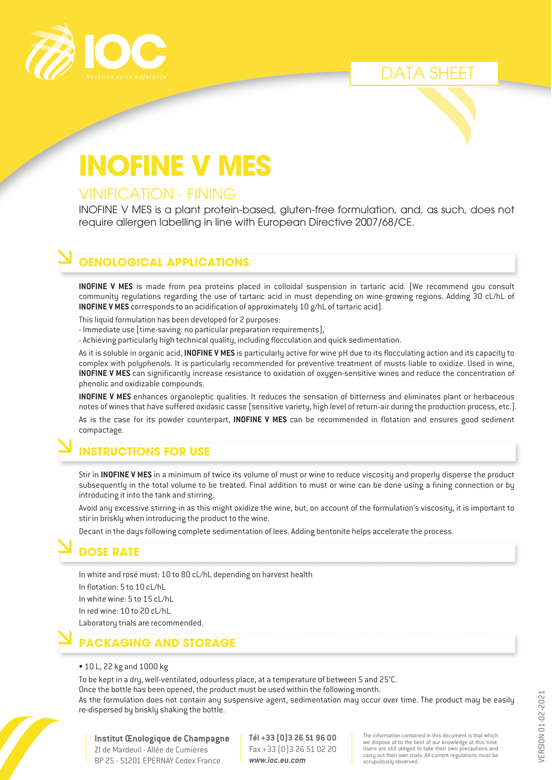

#### DATA SHEET

# **INOFINE V INOFINE V MES**

#### VINIFICATION - FINING VINIFICATION - FINING

INOFINE V MES is a plant protein-based, gluten-free formulation, and, as such, does not require allergen labelling in line with European Directive 2007/68/CE.

#### **OENOLOGICAL APPLICATIONS**

**INOFINE V MES** is made from pea proteins placed in colloidal suspension in tartaric acid. (We recommend you consult community regulations regarding the use of tartaric acid in must depending on wine-growing regions. Adding 30 cL/hL of **INOFINE V MES** corresponds to an acidification of approximately 10 g/hL of tartaric acid).

This liquid formulation has been developed for 2 purposes:

- Immediate use (time-saving: no particular preparation requirements),
- Achieving particularly high technical quality, including flocculation and quick sedimentation.

As it is soluble in organic acid, **INOFINE V MES** is particularly active for wine pH due to its flocculating action and its capacity to complex with polyphenols. It is particularly recommended for preventive treatment of musts liable to oxidize. Used in wine, **INOFINE V MES** can significantly increase resistance to oxidation of oxygen-sensitive wines and reduce the concentration of phenolic and oxidizable compounds.

**INOFINE V MES** enhances organoleptic qualities. It reduces the sensation of bitterness and eliminates plant or herbaceous notes of wines that have suffered oxidasic casse (sensitive variety, high level of return-air during the production process, etc.).

As is the case for its powder counterpart, **INOFINE V MES** can be recommended in flotation and ensures good sediment compactage.

#### **INSTRUCTIONS FOR USE**

Stir in **INOFINE V MES** in a minimum of twice its volume of must or wine to reduce viscosity and properly disperse the product subsequently in the total volume to be treated. Final addition to must or wine can be done using a fining connection or by introducing it into the tank and stirring.

Avoid any excessive stirring-in as this might oxidize the wine, but, on account of the formulation's viscosity, it is important to stir in briskly when introducing the product to the wine.

Decant in the days following complete sedimentation of lees. Adding bentonite helps accelerate the process.

#### **DOSE RATE**

In white and rosé must: 10 to 80 cL/hL depending on harvest health In flotation: 5 to 10 cL/hL In white wine: 5 to 15 cL/hL In red wine: 10 to 20 cL/hL Laboratory trials are recommended.

**PACKAGING AND STORAGE**

• 10 L, 22 kg and 1000 kg

To be kept in a dry, well-ventilated, odourless place, at a temperature of between 5 and 25°C.

Once the bottle has been opened, the product must be used within the following month.

As the formulation does not contain any suspensive agent, sedimentation may occur over time. The product may be easily re-dispersed by briskly shaking the bottle.

**Institut Œnologique de Champagne** ZI de Mardeuil - Allée de Cumières BP 25 - 51201 EPERNAY Cedex France

**Tél +33 (0)3 26 51 96 00** Fax +33 (0)3 26 51 02 20 *www.ioc.eu.com*

The information contained in this document is that which we dispose of to the best of our knowledge at this time. Users are still obliged to take their own precautions and carry out their own trials. All current regulations must be scrupulously observed.